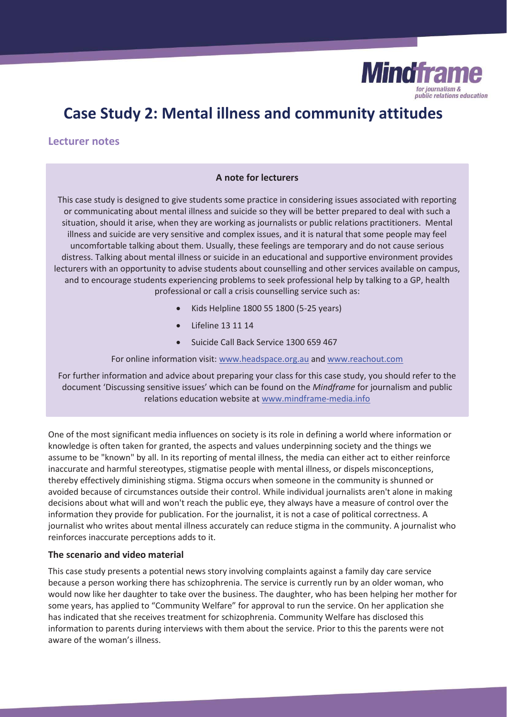

# **Case Study 2: Mental illness and community attitudes**

# **Lecturer notes**

# **A note for lecturers**

This case study is designed to give students some practice in considering issues associated with reporting or communicating about mental illness and suicide so they will be better prepared to deal with such a situation, should it arise, when they are working as journalists or public relations practitioners. Mental illness and suicide are very sensitive and complex issues, and it is natural that some people may feel uncomfortable talking about them. Usually, these feelings are temporary and do not cause serious distress. Talking about mental illness or suicide in an educational and supportive environment provides lecturers with an opportunity to advise students about counselling and other services available on campus, and to encourage students experiencing problems to seek professional help by talking to a GP, health professional or call a crisis counselling service such as:

- x Kids Helpline 1800 55 1800 (5-25 years)
- Lifeline 13 11 14
- Suicide Call Back Service 1300 659 467

For online information visit: www.headspace.org.au and www.reachout.com

For further information and advice about preparing your class for this case study, you should refer to the document 'Discussing sensitive issues' which can be found on the *Mindframe* for journalism and public relations education website at www.mindframe-media.info

One of the most significant media influences on society is its role in defining a world where information or knowledge is often taken for granted, the aspects and values underpinning society and the things we assume to be "known" by all. In its reporting of mental illness, the media can either act to either reinforce inaccurate and harmful stereotypes, stigmatise people with mental illness, or dispels misconceptions, thereby effectively diminishing stigma. Stigma occurs when someone in the community is shunned or avoided because of circumstances outside their control. While individual journalists aren't alone in making decisions about what will and won't reach the public eye, they always have a measure of control over the information they provide for publication. For the journalist, it is not a case of political correctness. A journalist who writes about mental illness accurately can reduce stigma in the community. A journalist who reinforces inaccurate perceptions adds to it.

# **The scenario and video material**

This case study presents a potential news story involving complaints against a family day care service because a person working there has schizophrenia. The service is currently run by an older woman, who would now like her daughter to take over the business. The daughter, who has been helping her mother for some years, has applied to "Community Welfare" for approval to run the service. On her application she has indicated that she receives treatment for schizophrenia. Community Welfare has disclosed this information to parents during interviews with them about the service. Prior to this the parents were not aware of the woman's illness.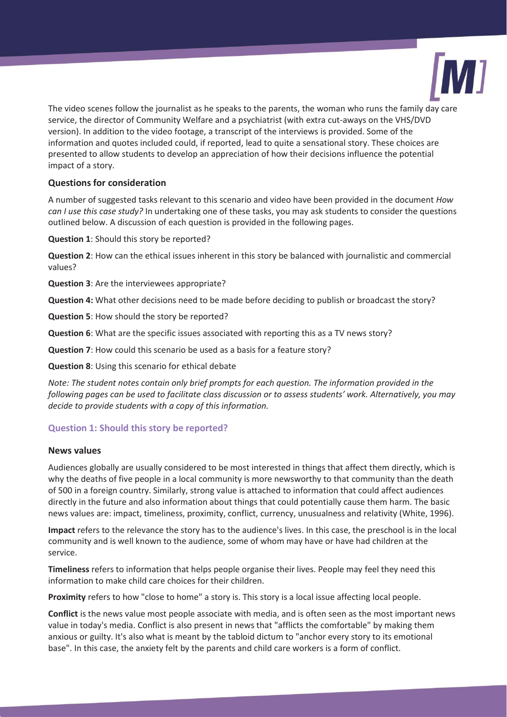

The video scenes follow the journalist as he speaks to the parents, the woman who runs the family day care service, the director of Community Welfare and a psychiatrist (with extra cut-aways on the VHS/DVD version). In addition to the video footage, a transcript of the interviews is provided. Some of the information and quotes included could, if reported, lead to quite a sensational story. These choices are presented to allow students to develop an appreciation of how their decisions influence the potential impact of a story.

# **Questions for consideration**

A number of suggested tasks relevant to this scenario and video have been provided in the document *How can I use this case study?* In undertaking one of these tasks, you may ask students to consider the questions outlined below. A discussion of each question is provided in the following pages.

**Question 1**: Should this story be reported?

**Question 2**: How can the ethical issues inherent in this story be balanced with journalistic and commercial values?

**Question 3**: Are the interviewees appropriate?

**Question 4:** What other decisions need to be made before deciding to publish or broadcast the story?

**Question 5**: How should the story be reported?

**Question 6**: What are the specific issues associated with reporting this as a TV news story?

**Question 7**: How could this scenario be used as a basis for a feature story?

**Question 8**: Using this scenario for ethical debate

*Note: The student notes contain only brief prompts for each question. The information provided in the following pages can be used to facilitate class discussion or to assess students' work. Alternatively, you may decide to provide students with a copy of this information.* 

# **Question 1: Should this story be reported?**

# **News values**

Audiences globally are usually considered to be most interested in things that affect them directly, which is why the deaths of five people in a local community is more newsworthy to that community than the death of 500 in a foreign country. Similarly, strong value is attached to information that could affect audiences directly in the future and also information about things that could potentially cause them harm. The basic news values are: impact, timeliness, proximity, conflict, currency, unusualness and relativity (White, 1996).

**Impact** refers to the relevance the story has to the audience's lives. In this case, the preschool is in the local community and is well known to the audience, some of whom may have or have had children at the service.

**Timeliness** refers to information that helps people organise their lives. People may feel they need this information to make child care choices for their children.

**Proximity** refers to how "close to home" a story is. This story is a local issue affecting local people.

**Conflict** is the news value most people associate with media, and is often seen as the most important news value in today's media. Conflict is also present in news that "afflicts the comfortable" by making them anxious or guilty. It's also what is meant by the tabloid dictum to "anchor every story to its emotional base". In this case, the anxiety felt by the parents and child care workers is a form of conflict.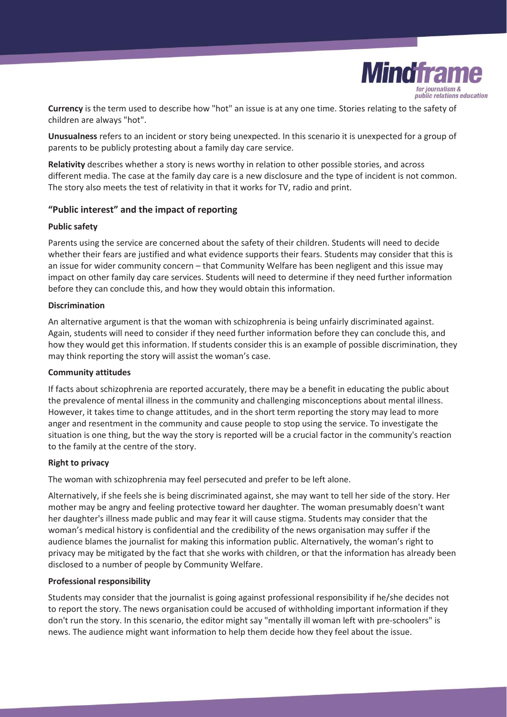

**Currency** is the term used to describe how "hot" an issue is at any one time. Stories relating to the safety of children are always "hot".

**Unusualness** refers to an incident or story being unexpected. In this scenario it is unexpected for a group of parents to be publicly protesting about a family day care service.

**Relativity** describes whether a story is news worthy in relation to other possible stories, and across different media. The case at the family day care is a new disclosure and the type of incident is not common. The story also meets the test of relativity in that it works for TV, radio and print.

# **"Public interest" and the impact of reporting**

#### **Public safety**

Parents using the service are concerned about the safety of their children. Students will need to decide whether their fears are justified and what evidence supports their fears. Students may consider that this is an issue for wider community concern – that Community Welfare has been negligent and this issue may impact on other family day care services. Students will need to determine if they need further information before they can conclude this, and how they would obtain this information.

#### **Discrimination**

An alternative argument is that the woman with schizophrenia is being unfairly discriminated against. Again, students will need to consider if they need further information before they can conclude this, and how they would get this information. If students consider this is an example of possible discrimination, they may think reporting the story will assist the woman's case.

# **Community attitudes**

If facts about schizophrenia are reported accurately, there may be a benefit in educating the public about the prevalence of mental illness in the community and challenging misconceptions about mental illness. However, it takes time to change attitudes, and in the short term reporting the story may lead to more anger and resentment in the community and cause people to stop using the service. To investigate the situation is one thing, but the way the story is reported will be a crucial factor in the community's reaction to the family at the centre of the story.

# **Right to privacy**

The woman with schizophrenia may feel persecuted and prefer to be left alone.

Alternatively, if she feels she is being discriminated against, she may want to tell her side of the story. Her mother may be angry and feeling protective toward her daughter. The woman presumably doesn't want her daughter's illness made public and may fear it will cause stigma. Students may consider that the woman's medical history is confidential and the credibility of the news organisation may suffer if the audience blames the journalist for making this information public. Alternatively, the woman's right to privacy may be mitigated by the fact that she works with children, or that the information has already been disclosed to a number of people by Community Welfare.

# **Professional responsibility**

Students may consider that the journalist is going against professional responsibility if he/she decides not to report the story. The news organisation could be accused of withholding important information if they don't run the story. In this scenario, the editor might say "mentally ill woman left with pre-schoolers" is news. The audience might want information to help them decide how they feel about the issue.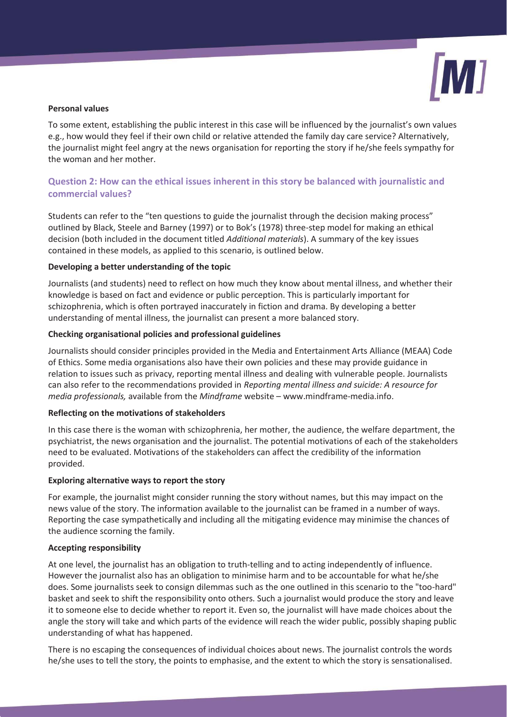

### **Personal values**

To some extent, establishing the public interest in this case will be influenced by the journalist's own values e.g., how would they feel if their own child or relative attended the family day care service? Alternatively, the journalist might feel angry at the news organisation for reporting the story if he/she feels sympathy for the woman and her mother.

# **Question 2: How can the ethical issues inherent in this story be balanced with journalistic and commercial values?**

Students can refer to the "ten questions to guide the journalist through the decision making process" outlined by Black, Steele and Barney (1997) or to Bok's (1978) three-step model for making an ethical decision (both included in the document titled *Additional materials*). A summary of the key issues contained in these models, as applied to this scenario, is outlined below.

#### **Developing a better understanding of the topic**

Journalists (and students) need to reflect on how much they know about mental illness, and whether their knowledge is based on fact and evidence or public perception. This is particularly important for schizophrenia, which is often portrayed inaccurately in fiction and drama. By developing a better understanding of mental illness, the journalist can present a more balanced story.

#### **Checking organisational policies and professional guidelines**

Journalists should consider principles provided in the Media and Entertainment Arts Alliance (MEAA) Code of Ethics. Some media organisations also have their own policies and these may provide guidance in relation to issues such as privacy, reporting mental illness and dealing with vulnerable people. Journalists can also refer to the recommendations provided in *Reporting mental illness and suicide: A resource for media professionals,* available from the *Mindframe* website – www.mindframe-media.info.

# **Reflecting on the motivations of stakeholders**

In this case there is the woman with schizophrenia, her mother, the audience, the welfare department, the psychiatrist, the news organisation and the journalist. The potential motivations of each of the stakeholders need to be evaluated. Motivations of the stakeholders can affect the credibility of the information provided.

#### **Exploring alternative ways to report the story**

For example, the journalist might consider running the story without names, but this may impact on the news value of the story. The information available to the journalist can be framed in a number of ways. Reporting the case sympathetically and including all the mitigating evidence may minimise the chances of the audience scorning the family.

#### **Accepting responsibility**

At one level, the journalist has an obligation to truth-telling and to acting independently of influence. However the journalist also has an obligation to minimise harm and to be accountable for what he/she does. Some journalists seek to consign dilemmas such as the one outlined in this scenario to the "too-hard" basket and seek to shift the responsibility onto others. Such a journalist would produce the story and leave it to someone else to decide whether to report it. Even so, the journalist will have made choices about the angle the story will take and which parts of the evidence will reach the wider public, possibly shaping public understanding of what has happened.

There is no escaping the consequences of individual choices about news. The journalist controls the words he/she uses to tell the story, the points to emphasise, and the extent to which the story is sensationalised.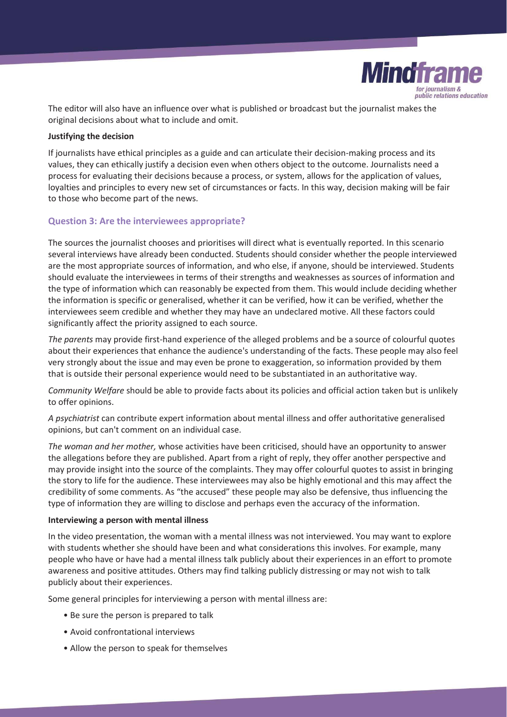

The editor will also have an influence over what is published or broadcast but the journalist makes the original decisions about what to include and omit.

#### **Justifying the decision**

If journalists have ethical principles as a guide and can articulate their decision-making process and its values, they can ethically justify a decision even when others object to the outcome. Journalists need a process for evaluating their decisions because a process, or system, allows for the application of values, loyalties and principles to every new set of circumstances or facts. In this way, decision making will be fair to those who become part of the news.

# **Question 3: Are the interviewees appropriate?**

The sources the journalist chooses and prioritises will direct what is eventually reported. In this scenario several interviews have already been conducted. Students should consider whether the people interviewed are the most appropriate sources of information, and who else, if anyone, should be interviewed. Students should evaluate the interviewees in terms of their strengths and weaknesses as sources of information and the type of information which can reasonably be expected from them. This would include deciding whether the information is specific or generalised, whether it can be verified, how it can be verified, whether the interviewees seem credible and whether they may have an undeclared motive. All these factors could significantly affect the priority assigned to each source.

*The parents* may provide first-hand experience of the alleged problems and be a source of colourful quotes about their experiences that enhance the audience's understanding of the facts. These people may also feel very strongly about the issue and may even be prone to exaggeration, so information provided by them that is outside their personal experience would need to be substantiated in an authoritative way.

*Community Welfare* should be able to provide facts about its policies and official action taken but is unlikely to offer opinions.

*A psychiatrist* can contribute expert information about mental illness and offer authoritative generalised opinions, but can't comment on an individual case.

*The woman and her mother,* whose activities have been criticised, should have an opportunity to answer the allegations before they are published. Apart from a right of reply, they offer another perspective and may provide insight into the source of the complaints. They may offer colourful quotes to assist in bringing the story to life for the audience. These interviewees may also be highly emotional and this may affect the credibility of some comments. As "the accused" these people may also be defensive, thus influencing the type of information they are willing to disclose and perhaps even the accuracy of the information.

#### **Interviewing a person with mental illness**

In the video presentation, the woman with a mental illness was not interviewed. You may want to explore with students whether she should have been and what considerations this involves. For example, many people who have or have had a mental illness talk publicly about their experiences in an effort to promote awareness and positive attitudes. Others may find talking publicly distressing or may not wish to talk publicly about their experiences.

Some general principles for interviewing a person with mental illness are:

- Be sure the person is prepared to talk
- Avoid confrontational interviews
- Allow the person to speak for themselves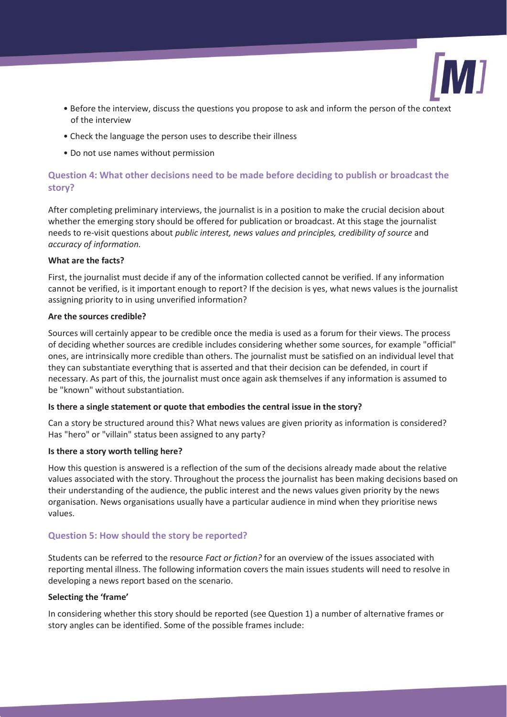

- Before the interview, discuss the questions you propose to ask and inform the person of the context of the interview
- Check the language the person uses to describe their illness
- Do not use names without permission

# **Question 4: What other decisions need to be made before deciding to publish or broadcast the story?**

After completing preliminary interviews, the journalist is in a position to make the crucial decision about whether the emerging story should be offered for publication or broadcast. At this stage the journalist needs to re-visit questions about *public interest, news values and principles, credibility of source* and *accuracy of information.*

# **What are the facts?**

First, the journalist must decide if any of the information collected cannot be verified. If any information cannot be verified, is it important enough to report? If the decision is yes, what news values is the journalist assigning priority to in using unverified information?

# **Are the sources credible?**

Sources will certainly appear to be credible once the media is used as a forum for their views. The process of deciding whether sources are credible includes considering whether some sources, for example "official" ones, are intrinsically more credible than others. The journalist must be satisfied on an individual level that they can substantiate everything that is asserted and that their decision can be defended, in court if necessary. As part of this, the journalist must once again ask themselves if any information is assumed to be "known" without substantiation.

# **Is there a single statement or quote that embodies the central issue in the story?**

Can a story be structured around this? What news values are given priority as information is considered? Has "hero" or "villain" status been assigned to any party?

# **Is there a story worth telling here?**

How this question is answered is a reflection of the sum of the decisions already made about the relative values associated with the story. Throughout the process the journalist has been making decisions based on their understanding of the audience, the public interest and the news values given priority by the news organisation. News organisations usually have a particular audience in mind when they prioritise news values.

# **Question 5: How should the story be reported?**

Students can be referred to the resource *Fact or fiction?* for an overview of the issues associated with reporting mental illness. The following information covers the main issues students will need to resolve in developing a news report based on the scenario.

# **Selecting the 'frame'**

In considering whether this story should be reported (see Question 1) a number of alternative frames or story angles can be identified. Some of the possible frames include: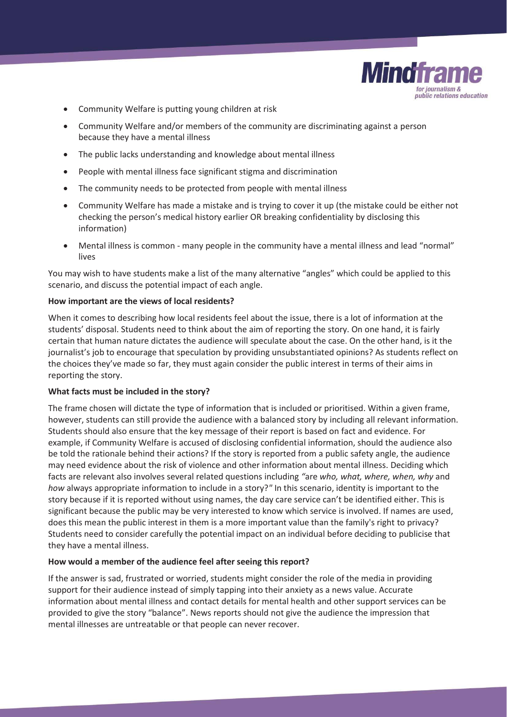

- Community Welfare is putting young children at risk
- Community Welfare and/or members of the community are discriminating against a person because they have a mental illness
- The public lacks understanding and knowledge about mental illness
- People with mental illness face significant stigma and discrimination
- The community needs to be protected from people with mental illness
- Community Welfare has made a mistake and is trying to cover it up (the mistake could be either not checking the person's medical history earlier OR breaking confidentiality by disclosing this information)
- Mental illness is common many people in the community have a mental illness and lead "normal" lives

You may wish to have students make a list of the many alternative "angles" which could be applied to this scenario, and discuss the potential impact of each angle.

# **How important are the views of local residents?**

When it comes to describing how local residents feel about the issue, there is a lot of information at the students' disposal. Students need to think about the aim of reporting the story. On one hand, it is fairly certain that human nature dictates the audience will speculate about the case. On the other hand, is it the journalist's job to encourage that speculation by providing unsubstantiated opinions? As students reflect on the choices they've made so far, they must again consider the public interest in terms of their aims in reporting the story.

# **What facts must be included in the story?**

The frame chosen will dictate the type of information that is included or prioritised. Within a given frame, however, students can still provide the audience with a balanced story by including all relevant information. Students should also ensure that the key message of their report is based on fact and evidence. For example, if Community Welfare is accused of disclosing confidential information, should the audience also be told the rationale behind their actions? If the story is reported from a public safety angle, the audience may need evidence about the risk of violence and other information about mental illness. Deciding which facts are relevant also involves several related questions including *"*are *who, what, where, when, why* and *how* always appropriate information to include in a story?*"* In this scenario, identity is important to the story because if it is reported without using names, the day care service can't be identified either. This is significant because the public may be very interested to know which service is involved. If names are used, does this mean the public interest in them is a more important value than the family's right to privacy? Students need to consider carefully the potential impact on an individual before deciding to publicise that they have a mental illness.

# **How would a member of the audience feel after seeing this report?**

If the answer is sad, frustrated or worried, students might consider the role of the media in providing support for their audience instead of simply tapping into their anxiety as a news value. Accurate information about mental illness and contact details for mental health and other support services can be provided to give the story "balance". News reports should not give the audience the impression that mental illnesses are untreatable or that people can never recover.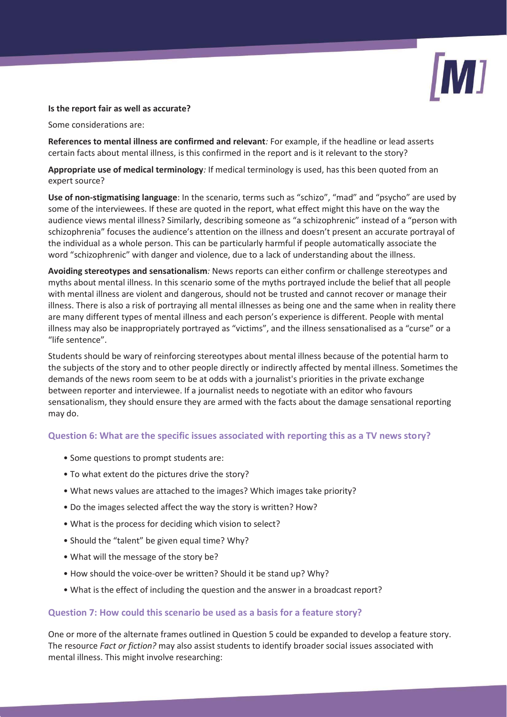

#### **Is the report fair as well as accurate?**

Some considerations are:

**References to mental illness are confirmed and relevant***:* For example, if the headline or lead asserts certain facts about mental illness, is this confirmed in the report and is it relevant to the story?

**Appropriate use of medical terminology***:* If medical terminology is used, has this been quoted from an expert source?

**Use of non-stigmatising language**: In the scenario, terms such as "schizo", "mad" and "psycho" are used by some of the interviewees. If these are quoted in the report, what effect might this have on the way the audience views mental illness? Similarly, describing someone as "a schizophrenic" instead of a "person with schizophrenia" focuses the audience's attention on the illness and doesn't present an accurate portrayal of the individual as a whole person. This can be particularly harmful if people automatically associate the word "schizophrenic" with danger and violence, due to a lack of understanding about the illness.

**Avoiding stereotypes and sensationalism***:* News reports can either confirm or challenge stereotypes and myths about mental illness. In this scenario some of the myths portrayed include the belief that all people with mental illness are violent and dangerous, should not be trusted and cannot recover or manage their illness. There is also a risk of portraying all mental illnesses as being one and the same when in reality there are many different types of mental illness and each person's experience is different. People with mental illness may also be inappropriately portrayed as "victims", and the illness sensationalised as a "curse" or a "life sentence".

Students should be wary of reinforcing stereotypes about mental illness because of the potential harm to the subjects of the story and to other people directly or indirectly affected by mental illness. Sometimes the demands of the news room seem to be at odds with a journalist's priorities in the private exchange between reporter and interviewee. If a journalist needs to negotiate with an editor who favours sensationalism, they should ensure they are armed with the facts about the damage sensational reporting may do.

# **Question 6: What are the specific issues associated with reporting this as a TV news story?**

- Some questions to prompt students are:
- To what extent do the pictures drive the story?
- What news values are attached to the images? Which images take priority?
- Do the images selected affect the way the story is written? How?
- What is the process for deciding which vision to select?
- Should the "talent" be given equal time? Why?
- What will the message of the story be?
- How should the voice-over be written? Should it be stand up? Why?
- What is the effect of including the question and the answer in a broadcast report?

# **Question 7: How could this scenario be used as a basis for a feature story?**

One or more of the alternate frames outlined in Question 5 could be expanded to develop a feature story. The resource *Fact or fiction?* may also assist students to identify broader social issues associated with mental illness. This might involve researching: